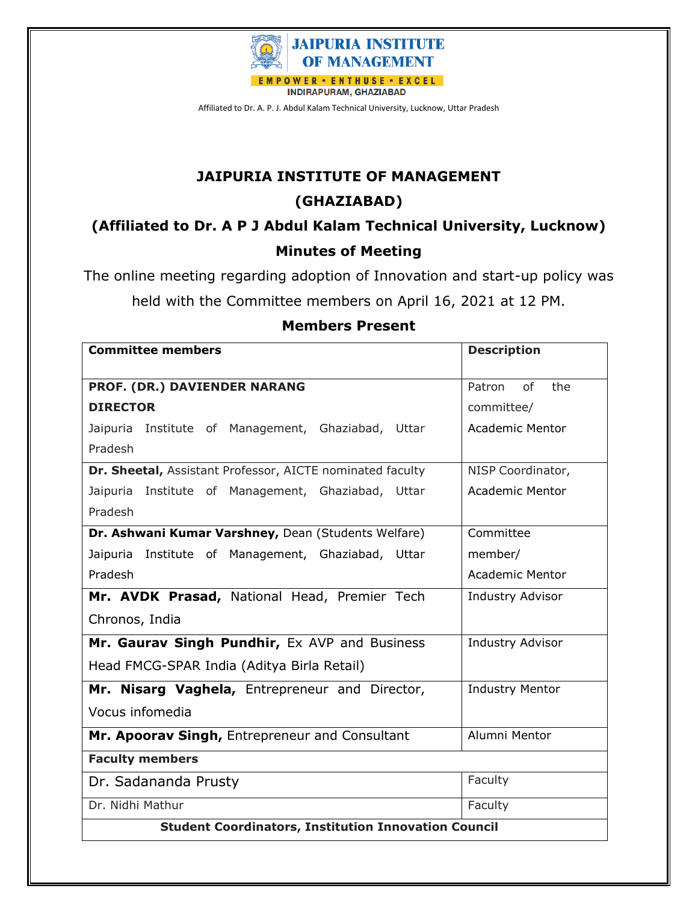

# **JAIPURIA INSTITUTE OF MANAGEMENT**

# **(GHAZIABAD)**

**(Affiliated to Dr. A P J Abdul Kalam Technical University, Lucknow) Minutes of Meeting**

The online meeting regarding adoption of Innovation and start-up policy was

held with the Committee members on April 16, 2021 at 12 PM.

| <b>Committee members</b>                                    | <b>Description</b>      |  |  |  |  |
|-------------------------------------------------------------|-------------------------|--|--|--|--|
| PROF. (DR.) DAVIENDER NARANG                                | of<br>the<br>Patron     |  |  |  |  |
| <b>DIRECTOR</b>                                             | committee/              |  |  |  |  |
| Jaipuria Institute of Management, Ghaziabad, Uttar          | <b>Academic Mentor</b>  |  |  |  |  |
| Pradesh                                                     |                         |  |  |  |  |
| Dr. Sheetal, Assistant Professor, AICTE nominated faculty   | NISP Coordinator,       |  |  |  |  |
| Jaipuria Institute of Management, Ghaziabad,<br>Uttar       | <b>Academic Mentor</b>  |  |  |  |  |
| Pradesh                                                     |                         |  |  |  |  |
| Dr. Ashwani Kumar Varshney, Dean (Students Welfare)         | Committee               |  |  |  |  |
| Jaipuria Institute of Management, Ghaziabad, Uttar          | member/                 |  |  |  |  |
| Pradesh                                                     | <b>Academic Mentor</b>  |  |  |  |  |
| Mr. AVDK Prasad, National Head, Premier Tech                | Industry Advisor        |  |  |  |  |
| Chronos, India                                              |                         |  |  |  |  |
| Mr. Gaurav Singh Pundhir, Ex AVP and Business               | <b>Industry Advisor</b> |  |  |  |  |
| Head FMCG-SPAR India (Aditya Birla Retail)                  |                         |  |  |  |  |
| Mr. Nisarg Vaghela, Entrepreneur and Director,              | <b>Industry Mentor</b>  |  |  |  |  |
| Vocus infomedia                                             |                         |  |  |  |  |
| Mr. Apoorav Singh, Entrepreneur and Consultant              | Alumni Mentor           |  |  |  |  |
| <b>Faculty members</b>                                      |                         |  |  |  |  |
| Dr. Sadananda Prusty                                        | Faculty                 |  |  |  |  |
| Dr. Nidhi Mathur                                            | Faculty                 |  |  |  |  |
| <b>Student Coordinators, Institution Innovation Council</b> |                         |  |  |  |  |

## **Members Present**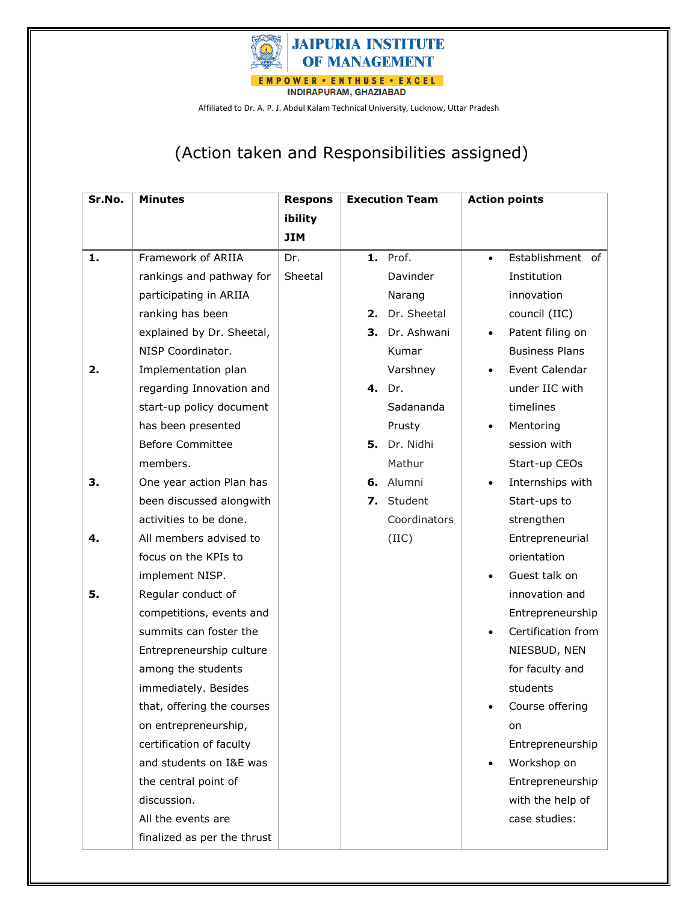

# (Action taken and Responsibilities assigned)

| Sr.No. | <b>Minutes</b>              | <b>Respons</b> | <b>Execution Team</b> |                 | <b>Action points</b> |                       |
|--------|-----------------------------|----------------|-----------------------|-----------------|----------------------|-----------------------|
|        |                             | ibility        |                       |                 |                      |                       |
|        |                             | <b>JIM</b>     |                       |                 |                      |                       |
| 1.     | Framework of ARIIA          | Dr.            |                       | <b>1.</b> Prof. | $\bullet$            | Establishment of      |
|        | rankings and pathway for    | Sheetal        |                       | Davinder        |                      | Institution           |
|        | participating in ARIIA      |                |                       | Narang          |                      | innovation            |
|        | ranking has been            |                |                       | 2. Dr. Sheetal  |                      | council (IIC)         |
|        | explained by Dr. Sheetal,   |                | З.                    | Dr. Ashwani     | $\bullet$            | Patent filing on      |
|        | NISP Coordinator.           |                |                       | Kumar           |                      | <b>Business Plans</b> |
| 2.     | Implementation plan         |                |                       | Varshney        |                      | Event Calendar        |
|        | regarding Innovation and    |                |                       | 4. Dr.          |                      | under IIC with        |
|        | start-up policy document    |                |                       | Sadananda       |                      | timelines             |
|        | has been presented          |                |                       | Prusty          | $\bullet$            | Mentoring             |
|        | <b>Before Committee</b>     |                |                       | 5. Dr. Nidhi    |                      | session with          |
|        | members.                    |                |                       | Mathur          |                      | Start-up CEOs         |
| З.     | One year action Plan has    |                |                       | 6. Alumni       | $\bullet$            | Internships with      |
|        | been discussed alongwith    |                |                       | 7. Student      |                      | Start-ups to          |
|        | activities to be done.      |                |                       | Coordinators    |                      | strengthen            |
| 4.     | All members advised to      |                |                       | (IIIC)          |                      | Entrepreneurial       |
|        | focus on the KPIs to        |                |                       |                 |                      | orientation           |
|        | implement NISP.             |                |                       |                 | $\bullet$            | Guest talk on         |
| 5.     | Regular conduct of          |                |                       |                 |                      | innovation and        |
|        | competitions, events and    |                |                       |                 |                      | Entrepreneurship      |
|        | summits can foster the      |                |                       |                 | $\bullet$            | Certification from    |
|        | Entrepreneurship culture    |                |                       |                 |                      | NIESBUD, NEN          |
|        | among the students          |                |                       |                 |                      | for faculty and       |
|        | immediately. Besides        |                |                       |                 |                      | students              |
|        | that, offering the courses  |                |                       |                 |                      | Course offering       |
|        | on entrepreneurship,        |                |                       |                 |                      | on                    |
|        | certification of faculty    |                |                       |                 |                      | Entrepreneurship      |
|        | and students on I&E was     |                |                       |                 | $\bullet$            | Workshop on           |
|        | the central point of        |                |                       |                 |                      | Entrepreneurship      |
|        | discussion.                 |                |                       |                 |                      | with the help of      |
|        | All the events are          |                |                       |                 |                      | case studies:         |
|        | finalized as per the thrust |                |                       |                 |                      |                       |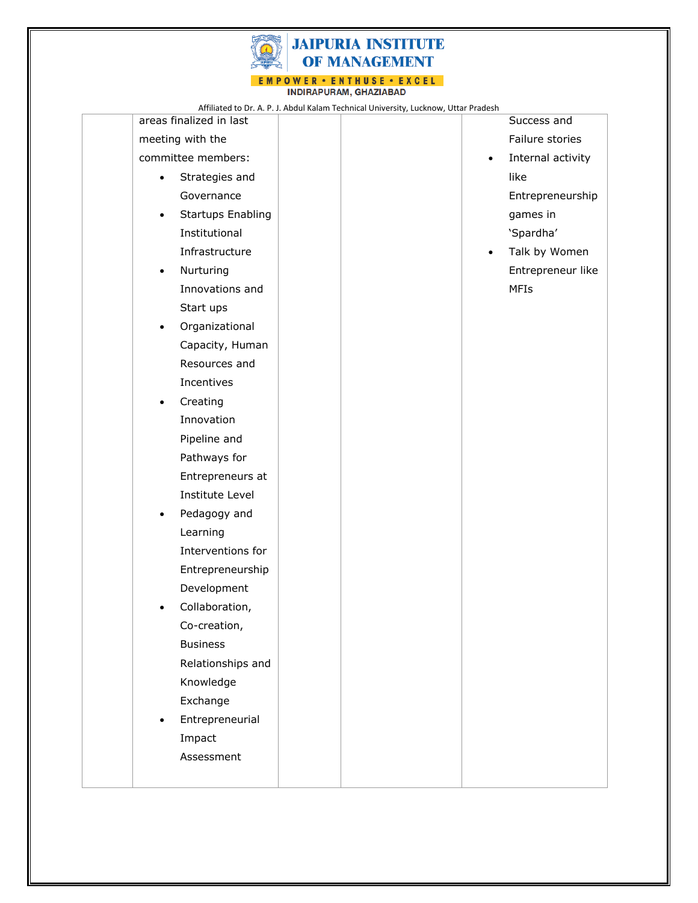

INDIRAPURAM, GHAZIABAD

|                             |                          | Affiliated to Dr. A. P. J. Abdul Kalam Technical University, Lucknow, Uttar Pradesh |           |                   |
|-----------------------------|--------------------------|-------------------------------------------------------------------------------------|-----------|-------------------|
|                             | areas finalized in last  |                                                                                     |           | Success and       |
|                             | meeting with the         |                                                                                     |           | Failure stories   |
|                             | committee members:       |                                                                                     | $\bullet$ | Internal activity |
| Strategies and<br>$\bullet$ |                          |                                                                                     |           | like              |
|                             | Governance               |                                                                                     |           | Entrepreneurship  |
| $\bullet$                   | <b>Startups Enabling</b> |                                                                                     |           | games in          |
|                             | Institutional            |                                                                                     |           | 'Spardha'         |
|                             | Infrastructure           |                                                                                     | $\bullet$ | Talk by Women     |
| $\bullet$                   | Nurturing                |                                                                                     |           | Entrepreneur like |
|                             | Innovations and          |                                                                                     |           | <b>MFIs</b>       |
|                             | Start ups                |                                                                                     |           |                   |
| $\bullet$                   | Organizational           |                                                                                     |           |                   |
|                             | Capacity, Human          |                                                                                     |           |                   |
|                             | Resources and            |                                                                                     |           |                   |
|                             | Incentives               |                                                                                     |           |                   |
| $\bullet$                   | Creating                 |                                                                                     |           |                   |
|                             | Innovation               |                                                                                     |           |                   |
|                             | Pipeline and             |                                                                                     |           |                   |
|                             | Pathways for             |                                                                                     |           |                   |
|                             | Entrepreneurs at         |                                                                                     |           |                   |
|                             | Institute Level          |                                                                                     |           |                   |
| $\bullet$                   | Pedagogy and             |                                                                                     |           |                   |
|                             | Learning                 |                                                                                     |           |                   |
|                             | Interventions for        |                                                                                     |           |                   |
|                             | Entrepreneurship         |                                                                                     |           |                   |
|                             | Development              |                                                                                     |           |                   |
| $\bullet$                   | Collaboration,           |                                                                                     |           |                   |
|                             | Co-creation,             |                                                                                     |           |                   |
|                             | <b>Business</b>          |                                                                                     |           |                   |
|                             | Relationships and        |                                                                                     |           |                   |
|                             | Knowledge                |                                                                                     |           |                   |
|                             | Exchange                 |                                                                                     |           |                   |
|                             | Entrepreneurial          |                                                                                     |           |                   |
|                             | Impact                   |                                                                                     |           |                   |
|                             | Assessment               |                                                                                     |           |                   |
|                             |                          |                                                                                     |           |                   |
|                             |                          |                                                                                     |           |                   |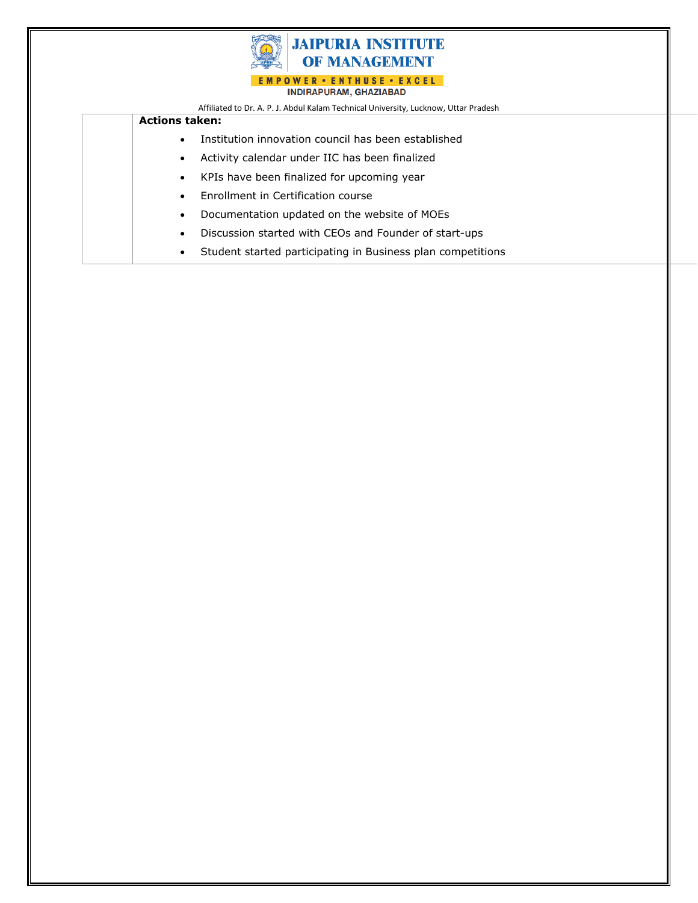

#### **Actions taken:**

- Institution innovation council has been established
- Activity calendar under IIC has been finalized
- KPIs have been finalized for upcoming year
- Enrollment in Certification course
- Documentation updated on the website of MOEs
- Discussion started with CEOs and Founder of start-ups
- Student started participating in Business plan competitions